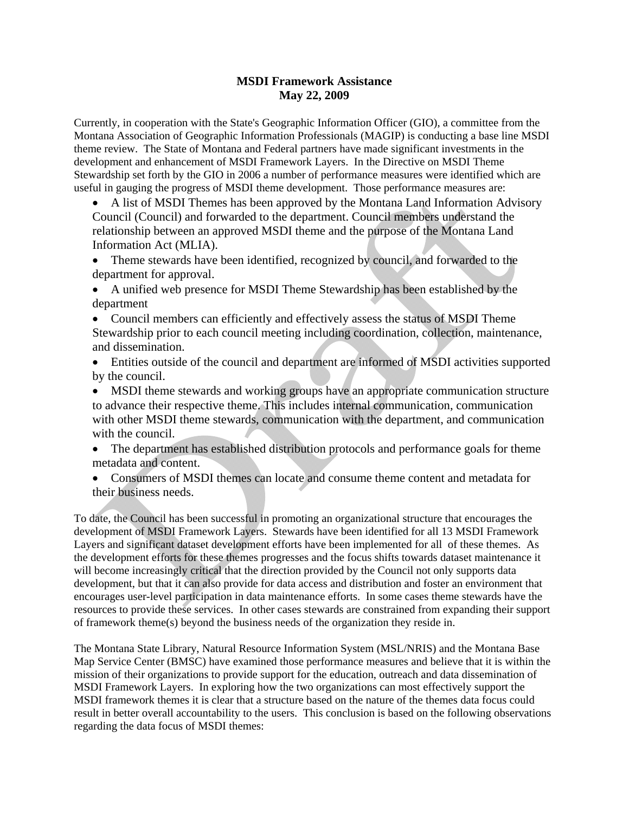## **MSDI Framework Assistance May 22, 2009**

Currently, in cooperation with the State's Geographic Information Officer (GIO), a committee from the Montana Association of Geographic Information Professionals (MAGIP) is conducting a base line MSDI theme review. The State of Montana and Federal partners have made significant investments in the development and enhancement of MSDI Framework Layers. In the Directive on MSDI Theme Stewardship set forth by the GIO in 2006 a number of performance measures were identified which are useful in gauging the progress of MSDI theme development. Those performance measures are:

 A list of MSDI Themes has been approved by the Montana Land Information Advisory Council (Council) and forwarded to the department. Council members understand the relationship between an approved MSDI theme and the purpose of the Montana Land Information Act (MLIA).

- Theme stewards have been identified, recognized by council, and forwarded to the department for approval.
- A unified web presence for MSDI Theme Stewardship has been established by the department
- Council members can efficiently and effectively assess the status of MSDI Theme Stewardship prior to each council meeting including coordination, collection, maintenance, and dissemination.
- Entities outside of the council and department are informed of MSDI activities supported by the council.
- MSDI theme stewards and working groups have an appropriate communication structure to advance their respective theme. This includes internal communication, communication with other MSDI theme stewards, communication with the department, and communication with the council.
- The department has established distribution protocols and performance goals for theme metadata and content.
- Consumers of MSDI themes can locate and consume theme content and metadata for their business needs.

To date, the Council has been successful in promoting an organizational structure that encourages the development of MSDI Framework Layers. Stewards have been identified for all 13 MSDI Framework Layers and significant dataset development efforts have been implemented for all of these themes. As the development efforts for these themes progresses and the focus shifts towards dataset maintenance it will become increasingly critical that the direction provided by the Council not only supports data development, but that it can also provide for data access and distribution and foster an environment that encourages user-level participation in data maintenance efforts. In some cases theme stewards have the resources to provide these services. In other cases stewards are constrained from expanding their support of framework theme(s) beyond the business needs of the organization they reside in.

The Montana State Library, Natural Resource Information System (MSL/NRIS) and the Montana Base Map Service Center (BMSC) have examined those performance measures and believe that it is within the mission of their organizations to provide support for the education, outreach and data dissemination of MSDI Framework Layers. In exploring how the two organizations can most effectively support the MSDI framework themes it is clear that a structure based on the nature of the themes data focus could result in better overall accountability to the users. This conclusion is based on the following observations regarding the data focus of MSDI themes: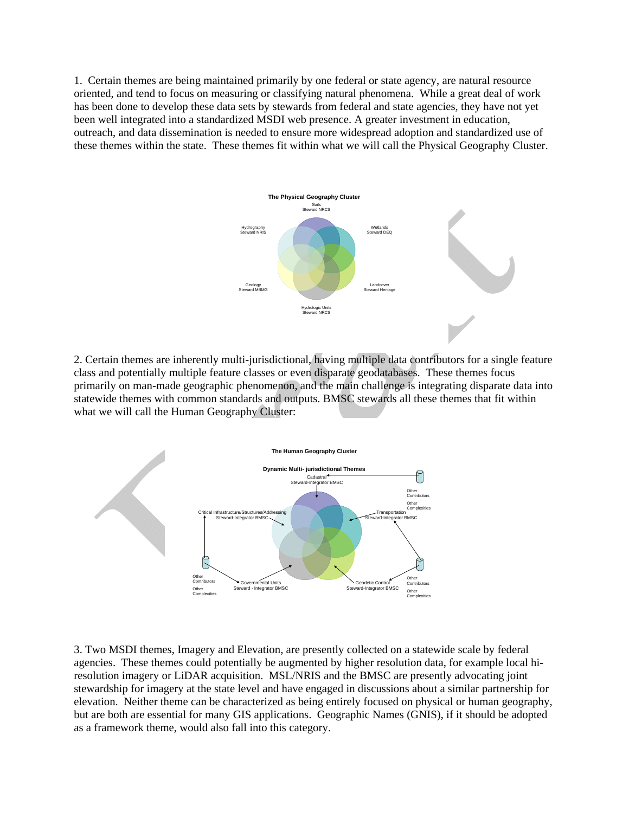1. Certain themes are being maintained primarily by one federal or state agency, are natural resource oriented, and tend to focus on measuring or classifying natural phenomena. While a great deal of work has been done to develop these data sets by stewards from federal and state agencies, they have not yet been well integrated into a standardized MSDI web presence. A greater investment in education, outreach, and data dissemination is needed to ensure more widespread adoption and standardized use of these themes within the state. These themes fit within what we will call the Physical Geography Cluster.



2. Certain themes are inherently multi-jurisdictional, having multiple data contributors for a single feature class and potentially multiple feature classes or even disparate geodatabases. These themes focus primarily on man-made geographic phenomenon, and the main challenge is integrating disparate data into statewide themes with common standards and outputs. BMSC stewards all these themes that fit within what we will call the Human Geography Cluster:



3. Two MSDI themes, Imagery and Elevation, are presently collected on a statewide scale by federal agencies. These themes could potentially be augmented by higher resolution data, for example local hiresolution imagery or LiDAR acquisition. MSL/NRIS and the BMSC are presently advocating joint stewardship for imagery at the state level and have engaged in discussions about a similar partnership for elevation. Neither theme can be characterized as being entirely focused on physical or human geography, but are both are essential for many GIS applications. Geographic Names (GNIS), if it should be adopted as a framework theme, would also fall into this category.